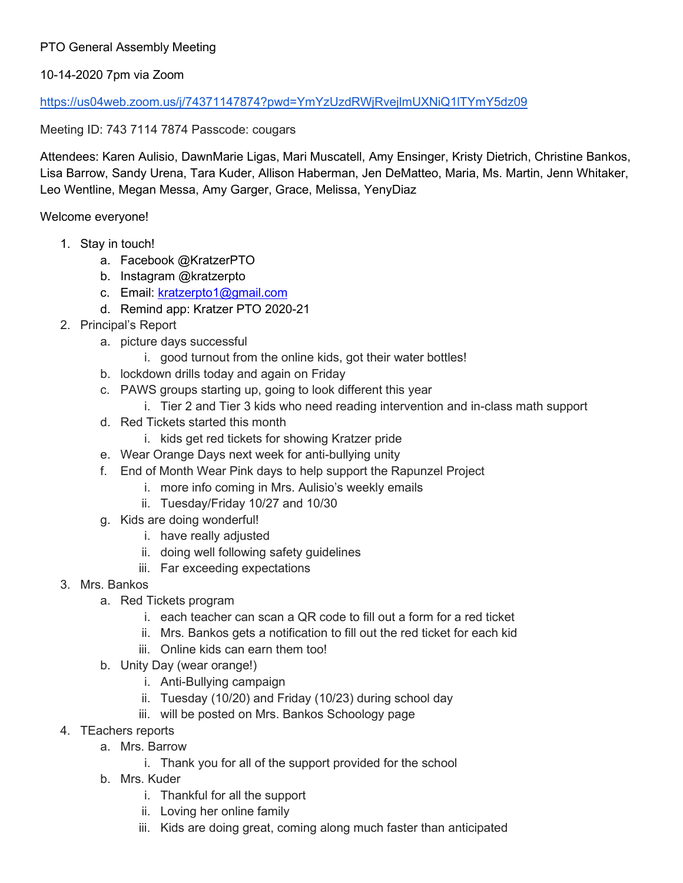## PTO General Assembly Meeting

## 10-14-2020 7pm via Zoom

## [https://us04web.zoom.us/j/74371147874?pwd=YmYzUzdRWjRvejlmUXNiQ1lTYmY5dz09](http://track.spe.schoolmessenger.com/f/a/7ZpjWR9NZqe_4RZRrIgVYg%7E%7E/AAAAAQA%7E/RgRhaJNWP0RKaHR0cHM6Ly91czA0d2ViLnpvb20udXMvai83NDM3MTE0Nzg3ND9wd2Q9WW1ZelV6ZFJXalJ2ZWpsbVVYTmlRMWxUWW1ZNWR6MDlXB3NjaG9vbG1CCgBG1l-HX81yF5NSFWFlbnNpbmdlcjA0QGdtYWlsLmNvbVgEAAAAAQ%7E%7E)

Meeting ID: 743 7114 7874 Passcode: cougars

Attendees: Karen Aulisio, DawnMarie Ligas, Mari Muscatell, Amy Ensinger, Kristy Dietrich, Christine Bankos, Lisa Barrow, Sandy Urena, Tara Kuder, Allison Haberman, Jen DeMatteo, Maria, Ms. Martin, Jenn Whitaker, Leo Wentline, Megan Messa, Amy Garger, Grace, Melissa, YenyDiaz

Welcome everyone!

- 1. Stay in touch!
	- a. Facebook @KratzerPTO
	- b. Instagram @kratzerpto
	- c. Email: [kratzerpto1@gmail.com](mailto:kratzerpto1@gmail.com)
	- d. Remind app: Kratzer PTO 2020-21
- 2. Principal's Report
	- a. picture days successful
		- i. good turnout from the online kids, got their water bottles!
	- b. lockdown drills today and again on Friday
	- c. PAWS groups starting up, going to look different this year
		- i. Tier 2 and Tier 3 kids who need reading intervention and in-class math support
	- d. Red Tickets started this month
		- i. kids get red tickets for showing Kratzer pride
	- e. Wear Orange Days next week for anti-bullying unity
	- f. End of Month Wear Pink days to help support the Rapunzel Project
		- i. more info coming in Mrs. Aulisio's weekly emails
		- ii. Tuesday/Friday 10/27 and 10/30
	- g. Kids are doing wonderful!
		- i. have really adjusted
		- ii. doing well following safety guidelines
		- iii. Far exceeding expectations
- 3. Mrs. Bankos
	- a. Red Tickets program
		- i. each teacher can scan a QR code to fill out a form for a red ticket
		- ii. Mrs. Bankos gets a notification to fill out the red ticket for each kid
		- iii. Online kids can earn them too!
	- b. Unity Day (wear orange!)
		- i. Anti-Bullying campaign
		- ii. Tuesday (10/20) and Friday (10/23) during school day
		- iii. will be posted on Mrs. Bankos Schoology page
- 4. TEachers reports
	- a. Mrs. Barrow
		- i. Thank you for all of the support provided for the school
	- b. Mrs. Kuder
		- i. Thankful for all the support
		- ii. Loving her online family
		- iii. Kids are doing great, coming along much faster than anticipated